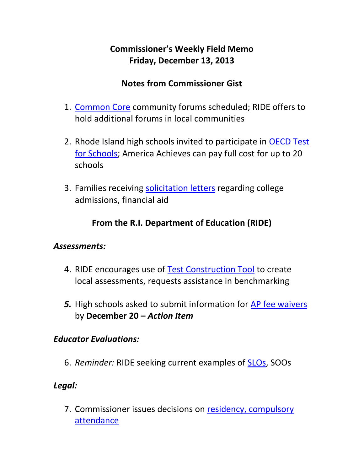# **Commissioner's Weekly Field Memo Friday, December 13, 2013**

#### **Notes from Commissioner Gist**

- 1. [Common Core](#page-2-0) community forums scheduled; RIDE offers to hold additional forums in local communities
- 2. Rhode Island high schools invited to participate in [OECD Test](#page-4-0)  [for Schools;](#page-4-0) America Achieves can pay full cost for up to 20 schools
- 3. Families receiving [solicitation letters](#page-4-1) regarding college admissions, financial aid

# **From the R.I. Department of Education (RIDE)**

#### *Assessments:*

- 4. RIDE encourages use of [Test Construction Tool](#page-7-0) to create local assessments, requests assistance in benchmarking
- *5.* High schools asked to submit information for [AP fee waivers](#page-8-0) by **December 20 –** *Action Item*

#### *Educator Evaluations:*

6. *Reminder:* RIDE seeking current examples of [SLOs,](#page-9-0) SOOs

#### *Legal:*

7. Commissioner issues decisions on [residency, compulsory](#page-9-1)  [attendance](#page-9-1)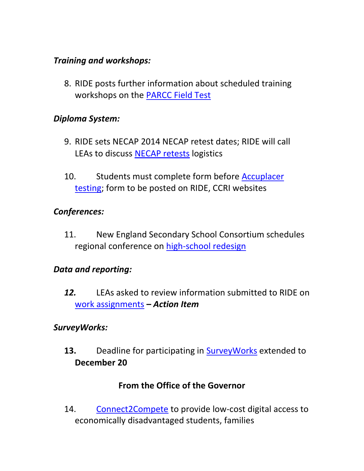#### *Training and workshops:*

8. RIDE posts further information about scheduled training workshops on the [PARCC Field Test](#page-10-0)

#### *Diploma System:*

- 9. RIDE sets NECAP 2014 NECAP retest dates; RIDE will call LEAs to discuss [NECAP retests](#page-11-0) logistics
- 10. Students must complete form before Accuplacer [testing;](#page-12-0) form to be posted on RIDE, CCRI websites

#### *Conferences:*

11. New England Secondary School Consortium schedules regional conference on [high-school redesign](#page-13-0)

#### *Data and reporting:*

*12.* LEAs asked to review information submitted to RIDE on [work assignments](#page-13-1) **–** *Action Item* 

#### *SurveyWorks:*

**13.** Deadline for participating in [SurveyWorks](#page-14-0) extended to **December 20** 

### **From the Office of the Governor**

14. [Connect2Compete](#page-15-0) to provide low-cost digital access to economically disadvantaged students, families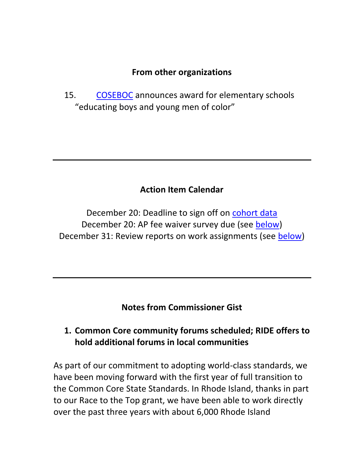#### **From other organizations**

15. [COSEBOC](#page-16-0) announces award for elementary schools "educating boys and young men of color"

### **Action Item Calendar**

December 20: Deadline to sign off on [cohort data](http://ride.ri.gov/Portals/0/Uploads/Documents/FieldMemos/120613-FM.pdf) December 20: AP fee waiver survey due (see [below\)](#page-8-0) December 31: Review reports on work assignments (see [below\)](#page-13-1)

**Notes from Commissioner Gist**

#### <span id="page-2-0"></span>**1. Common Core community forums scheduled; RIDE offers to hold additional forums in local communities**

As part of our commitment to adopting world-class standards, we have been moving forward with the first year of full transition to the Common Core State Standards. In Rhode Island, thanks in part to our Race to the Top grant, we have been able to work directly over the past three years with about 6,000 Rhode Island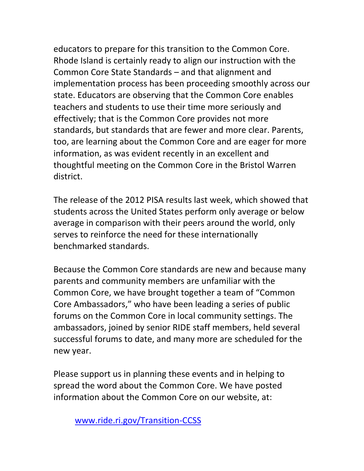educators to prepare for this transition to the Common Core. Rhode Island is certainly ready to align our instruction with the Common Core State Standards – and that alignment and implementation process has been proceeding smoothly across our state. Educators are observing that the Common Core enables teachers and students to use their time more seriously and effectively; that is the Common Core provides not more standards, but standards that are fewer and more clear. Parents, too, are learning about the Common Core and are eager for more information, as was evident recently in an excellent and thoughtful meeting on the Common Core in the Bristol Warren district.

The release of the 2012 PISA results last week, which showed that students across the United States perform only average or below average in comparison with their peers around the world, only serves to reinforce the need for these internationally benchmarked standards.

Because the Common Core standards are new and because many parents and community members are unfamiliar with the Common Core, we have brought together a team of "Common Core Ambassadors," who have been leading a series of public forums on the Common Core in local community settings. The ambassadors, joined by senior RIDE staff members, held several successful forums to date, and many more are scheduled for the new year.

Please support us in planning these events and in helping to spread the word about the Common Core. We have posted information about the Common Core on our website, at:

[www.ride.ri.gov/Transition-CCSS](http://www.ride.ri.gov/Transition-CCSS)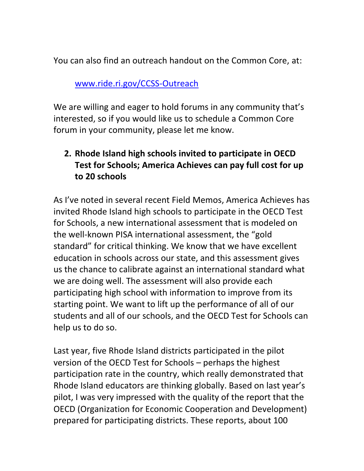You can also find an outreach handout on the Common Core, at:

#### [www.ride.ri.gov/CCSS-Outreach](http://www.ride.ri.gov/CCSS-Outreach)

We are willing and eager to hold forums in any community that's interested, so if you would like us to schedule a Common Core forum in your community, please let me know.

# <span id="page-4-0"></span>**2. Rhode Island high schools invited to participate in OECD Test for Schools; America Achieves can pay full cost for up to 20 schools**

<span id="page-4-1"></span>As I've noted in several recent Field Memos, America Achieves has invited Rhode Island high schools to participate in the OECD Test for Schools, a new international assessment that is modeled on the well-known PISA international assessment, the "gold standard" for critical thinking. We know that we have excellent education in schools across our state, and this assessment gives us the chance to calibrate against an international standard what we are doing well. The assessment will also provide each participating high school with information to improve from its starting point. We want to lift up the performance of all of our students and all of our schools, and the OECD Test for Schools can help us to do so.

Last year, five Rhode Island districts participated in the pilot version of the OECD Test for Schools – perhaps the highest participation rate in the country, which really demonstrated that Rhode Island educators are thinking globally. Based on last year's pilot, I was very impressed with the quality of the report that the OECD (Organization for Economic Cooperation and Development) prepared for participating districts. These reports, about 100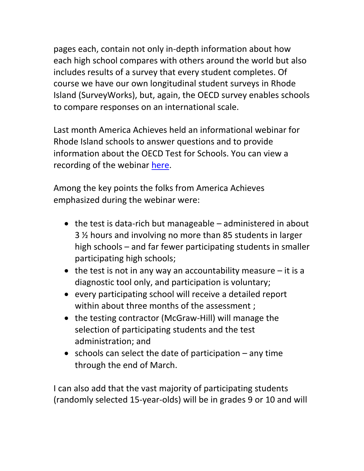pages each, contain not only in-depth information about how each high school compares with others around the world but also includes results of a survey that every student completes. Of course we have our own longitudinal student surveys in Rhode Island (SurveyWorks), but, again, the OECD survey enables schools to compare responses on an international scale.

Last month America Achieves held an informational webinar for Rhode Island schools to answer questions and to provide information about the OECD Test for Schools. You can view a recording of the webinar [here.](https://docs.google.com/file/d/0B9szxacDfsWyTUZsTnJSS0Fyc2s/edit?usp=sharing&pli=1)

Among the key points the folks from America Achieves emphasized during the webinar were:

- $\bullet$  the test is data-rich but manageable administered in about 3 ½ hours and involving no more than 85 students in larger high schools – and far fewer participating students in smaller participating high schools;
- $\bullet$  the test is not in any way an accountability measure  $-$  it is a diagnostic tool only, and participation is voluntary;
- every participating school will receive a detailed report within about three months of the assessment;
- the testing contractor (McGraw-Hill) will manage the selection of participating students and the test administration; and
- $\bullet$  schools can select the date of participation any time through the end of March.

I can also add that the vast majority of participating students (randomly selected 15-year-olds) will be in grades 9 or 10 and will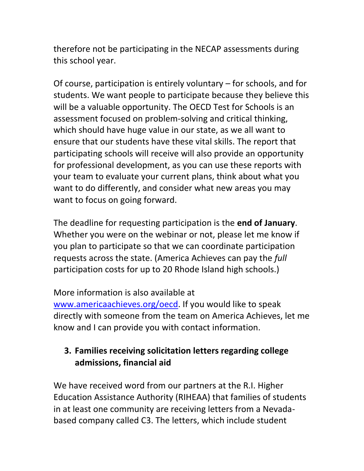therefore not be participating in the NECAP assessments during this school year.

Of course, participation is entirely voluntary – for schools, and for students. We want people to participate because they believe this will be a valuable opportunity. The OECD Test for Schools is an assessment focused on problem-solving and critical thinking, which should have huge value in our state, as we all want to ensure that our students have these vital skills. The report that participating schools will receive will also provide an opportunity for professional development, as you can use these reports with your team to evaluate your current plans, think about what you want to do differently, and consider what new areas you may want to focus on going forward.

The deadline for requesting participation is the **end of January**. Whether you were on the webinar or not, please let me know if you plan to participate so that we can coordinate participation requests across the state. (America Achieves can pay the *full* participation costs for up to 20 Rhode Island high schools.)

#### More information is also available at

[www.americaachieves.org/oecd.](http://www.americaachieves.org/oecd) If you would like to speak directly with someone from the team on America Achieves, let me know and I can provide you with contact information.

### **3. Families receiving solicitation letters regarding college admissions, financial aid**

We have received word from our partners at the R.I. Higher Education Assistance Authority (RIHEAA) that families of students in at least one community are receiving letters from a Nevadabased company called C3. The letters, which include student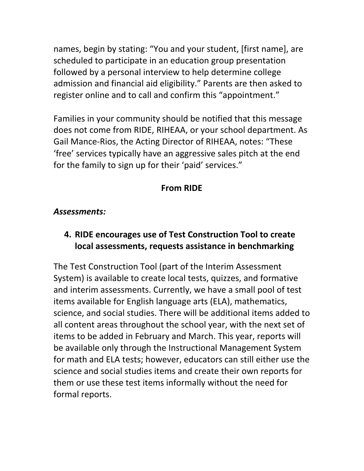names, begin by stating: "You and your student, [first name], are scheduled to participate in an education group presentation followed by a personal interview to help determine college admission and financial aid eligibility." Parents are then asked to register online and to call and confirm this "appointment."

Families in your community should be notified that this message does not come from RIDE, RIHEAA, or your school department. As Gail Mance-Rios, the Acting Director of RIHEAA, notes: "These 'free' services typically have an aggressive sales pitch at the end for the family to sign up for their 'paid' services."

### **From RIDE**

#### *Assessments:*

### <span id="page-7-0"></span>**4. RIDE encourages use of Test Construction Tool to create local assessments, requests assistance in benchmarking**

The Test Construction Tool (part of the Interim Assessment System) is available to create local tests, quizzes, and formative and interim assessments. Currently, we have a small pool of test items available for English language arts (ELA), mathematics, science, and social studies. There will be additional items added to all content areas throughout the school year, with the next set of items to be added in February and March. This year, reports will be available only through the Instructional Management System for math and ELA tests; however, educators can still either use the science and social studies items and create their own reports for them or use these test items informally without the need for formal reports.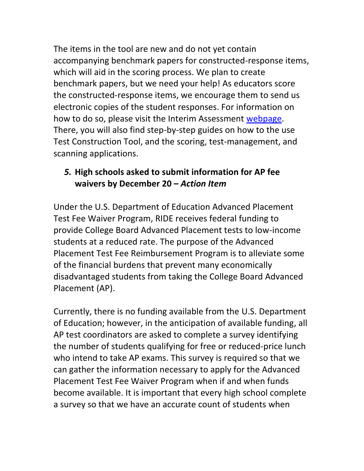The items in the tool are new and do not yet contain accompanying benchmark papers for constructed-response items, which will aid in the scoring process. We plan to create benchmark papers, but we need your help! As educators score the constructed-response items, we encourage them to send us electronic copies of the student responses. For information on how to do so, please visit the Interim Assessment [webpage.](http://www.ride.ri.gov/Interims) There, you will also find step-by-step guides on how to the use Test Construction Tool, and the scoring, test-management, and scanning applications.

#### <span id="page-8-0"></span>*5.* **High schools asked to submit information for AP fee waivers by December 20 –** *Action Item*

Under the U.S. Department of Education Advanced Placement Test Fee Waiver Program, RIDE receives federal funding to provide College Board Advanced Placement tests to low-income students at a reduced rate. The purpose of the Advanced Placement Test Fee Reimbursement Program is to alleviate some of the financial burdens that prevent many economically disadvantaged students from taking the College Board Advanced Placement (AP).

Currently, there is no funding available from the U.S. Department of Education; however, in the anticipation of available funding, all AP test coordinators are asked to complete a survey identifying the number of students qualifying for free or reduced-price lunch who intend to take AP exams. This survey is required so that we can gather the information necessary to apply for the Advanced Placement Test Fee Waiver Program when if and when funds become available. It is important that every high school complete a survey so that we have an accurate count of students when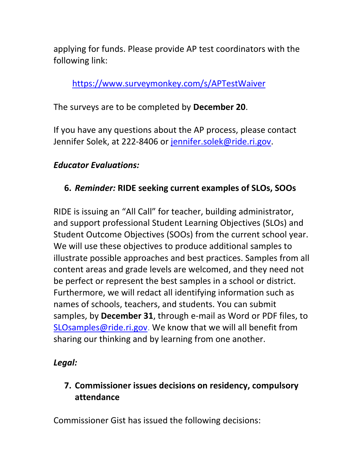applying for funds. Please provide AP test coordinators with the following link:

<https://www.surveymonkey.com/s/APTestWaiver>

The surveys are to be completed by **December 20**.

If you have any questions about the AP process, please contact Jennifer Solek, at 222-8406 or [jennifer.solek@ride.ri.gov.](mailto:jennifer.solek@ride.ri.gov)

### *Educator Evaluations:*

# <span id="page-9-0"></span>**6.** *Reminder:* **RIDE seeking current examples of SLOs, SOOs**

RIDE is issuing an "All Call" for teacher, building administrator, and support professional Student Learning Objectives (SLOs) and Student Outcome Objectives (SOOs) from the current school year. We will use these objectives to produce additional samples to illustrate possible approaches and best practices. Samples from all content areas and grade levels are welcomed, and they need not be perfect or represent the best samples in a school or district. Furthermore, we will redact all identifying information such as names of schools, teachers, and students. You can submit samples, by **December 31**, through e-mail as Word or PDF files, to [SLOsamples@ride.ri.gov.](mailto:SLOsamples@ride.ri.gov) We know that we will all benefit from sharing our thinking and by learning from one another.

### *Legal:*

# <span id="page-9-1"></span>**7. Commissioner issues decisions on residency, compulsory attendance**

Commissioner Gist has issued the following decisions: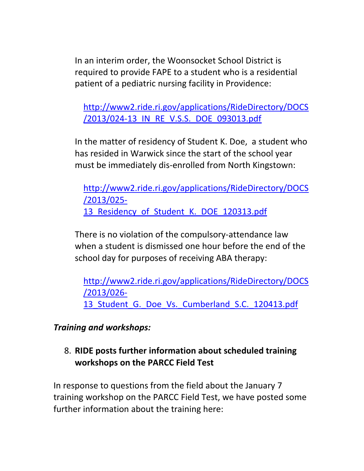In an interim order, the Woonsocket School District is required to provide FAPE to a student who is a residential patient of a pediatric nursing facility in Providence:

[http://www2.ride.ri.gov/applications/RideDirectory/DOCS](http://www2.ride.ri.gov/applications/RideDirectory/DOCS/2013/024-13_IN_RE_V.S.S._DOE_093013.pdf) [/2013/024-13\\_IN\\_RE\\_V.S.S.\\_DOE\\_093013.pdf](http://www2.ride.ri.gov/applications/RideDirectory/DOCS/2013/024-13_IN_RE_V.S.S._DOE_093013.pdf)

In the matter of residency of Student K. Doe, a student who has resided in Warwick since the start of the school year must be immediately dis-enrolled from North Kingstown:

[http://www2.ride.ri.gov/applications/RideDirectory/DOCS](http://www2.ride.ri.gov/applications/RideDirectory/DOCS/2013/025-13_Residency_of_Student_K._DOE_120313.pdf) [/2013/025-](http://www2.ride.ri.gov/applications/RideDirectory/DOCS/2013/025-13_Residency_of_Student_K._DOE_120313.pdf) 13 Residency of Student K. DOE 120313.pdf

There is no violation of the compulsory-attendance law when a student is dismissed one hour before the end of the school day for purposes of receiving ABA therapy:

[http://www2.ride.ri.gov/applications/RideDirectory/DOCS](http://www2.ride.ri.gov/applications/RideDirectory/DOCS/2013/026-13_Student_G._Doe_Vs._Cumberland_S.C._120413.pdf) [/2013/026-](http://www2.ride.ri.gov/applications/RideDirectory/DOCS/2013/026-13_Student_G._Doe_Vs._Cumberland_S.C._120413.pdf) 13 Student G. Doe Vs. Cumberland S.C. 120413.pdf

*Training and workshops:* 

# <span id="page-10-0"></span>8. **RIDE posts further information about scheduled training workshops on the PARCC Field Test**

In response to questions from the field about the January 7 training workshop on the PARCC Field Test, we have posted some further information about the training here: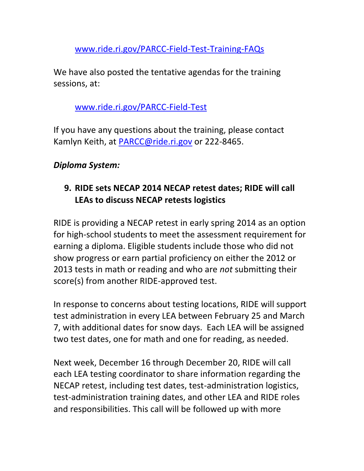[www.ride.ri.gov/PARCC-Field-Test-Training-FAQs](http://www.ride.ri.gov/PARCC-Field-Test-Training-FAQs)

We have also posted the tentative agendas for the training sessions, at:

## [www.ride.ri.gov/PARCC-Field-Test](http://www.ride.ri.gov/PARCC-Field-Test)

If you have any questions about the training, please contact Kamlyn Keith, at [PARCC@ride.ri.gov](mailto:PARCC@ride.ri.gov) or 222-8465.

# *Diploma System:*

# <span id="page-11-0"></span>**9. RIDE sets NECAP 2014 NECAP retest dates; RIDE will call LEAs to discuss NECAP retests logistics**

RIDE is providing a NECAP retest in early spring 2014 as an option for high-school students to meet the assessment requirement for earning a diploma. Eligible students include those who did not show progress or earn partial proficiency on either the 2012 or 2013 tests in math or reading and who are *not* submitting their score(s) from another RIDE-approved test.

In response to concerns about testing locations, RIDE will support test administration in every LEA between February 25 and March 7, with additional dates for snow days. Each LEA will be assigned two test dates, one for math and one for reading, as needed.

Next week, December 16 through December 20, RIDE will call each LEA testing coordinator to share information regarding the NECAP retest, including test dates, test-administration logistics, test-administration training dates, and other LEA and RIDE roles and responsibilities. This call will be followed up with more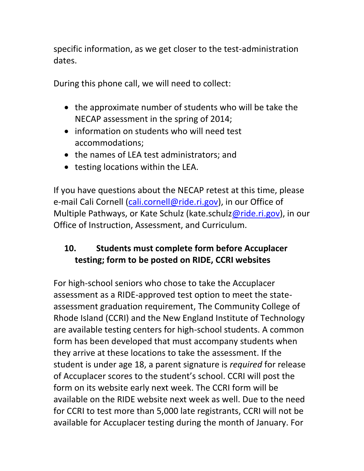specific information, as we get closer to the test-administration dates.

During this phone call, we will need to collect:

- the approximate number of students who will be take the NECAP assessment in the spring of 2014;
- information on students who will need test accommodations;
- the names of LEA test administrators; and
- testing locations within the LEA.

If you have questions about the NECAP retest at this time, please e-mail Cali Cornell [\(cali.cornell@ride.ri.gov\)](mailto:cali.cornell@ride.ri.gov), in our Office of Multiple Pathways, or Kate Schulz (kate.schul[z@ride.ri.gov\)](mailto:Kevon.Tucker-Seeley@ride.ri.gov), in our Office of Instruction, Assessment, and Curriculum.

# <span id="page-12-0"></span>**10. Students must complete form before Accuplacer testing; form to be posted on RIDE, CCRI websites**

For high-school seniors who chose to take the Accuplacer assessment as a RIDE-approved test option to meet the stateassessment graduation requirement, The Community College of Rhode Island (CCRI) and the New England Institute of Technology are available testing centers for high-school students. A common form has been developed that must accompany students when they arrive at these locations to take the assessment. If the student is under age 18, a parent signature is *required* for release of Accuplacer scores to the student's school. CCRI will post the form on its website early next week. The CCRI form will be available on the RIDE website next week as well. Due to the need for CCRI to test more than 5,000 late registrants, CCRI will not be available for Accuplacer testing during the month of January. For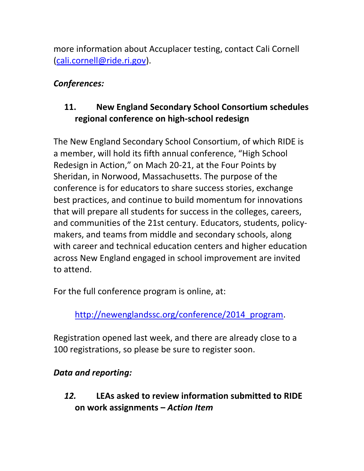more information about Accuplacer testing, contact Cali Cornell [\(cali.cornell@ride.ri.gov\)](mailto:cali.cornell@ride.ri.gov).

## *Conferences:*

# <span id="page-13-0"></span>**11. New England Secondary School Consortium schedules regional conference on high-school redesign**

The New England Secondary School Consortium, of which RIDE is a member, will hold its fifth annual conference, "High School Redesign in Action," on Mach 20-21, at the Four Points by Sheridan, in Norwood, Massachusetts. The purpose of the conference is for educators to share success stories, exchange best practices, and continue to build momentum for innovations that will prepare all students for success in the colleges, careers, and communities of the 21st century. Educators, students, policymakers, and teams from middle and secondary schools, along with career and technical education centers and higher education across New England engaged in school improvement are invited to attend.

For the full conference program is online, at:

[http://newenglandssc.org/conference/2014\\_program.](http://newenglandssc.org/conference/2014_program)

Registration opened last week, and there are already close to a 100 registrations, so please be sure to register soon.

# *Data and reporting:*

<span id="page-13-1"></span>*12.* **LEAs asked to review information submitted to RIDE on work assignments –** *Action Item*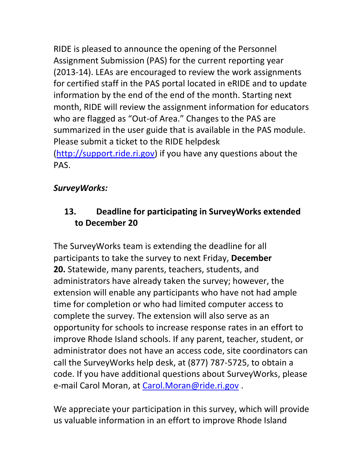RIDE is pleased to announce the opening of the Personnel Assignment Submission (PAS) for the current reporting year (2013-14). LEAs are encouraged to review the work assignments for certified staff in the PAS portal located in eRIDE and to update information by the end of the end of the month. Starting next month, RIDE will review the assignment information for educators who are flagged as "Out-of Area." Changes to the PAS are summarized in the user guide that is available in the PAS module. Please submit a ticket to the RIDE helpdesk [\(http://support.ride.ri.gov\)](http://support.ride.ri.gov/) if you have any questions about the PAS.

# *SurveyWorks:*

# <span id="page-14-0"></span>**13. Deadline for participating in SurveyWorks extended to December 20**

The SurveyWorks team is extending the deadline for all participants to take the survey to next Friday, **December 20.** Statewide, many parents, teachers, students, and administrators have already taken the survey; however, the extension will enable any participants who have not had ample time for completion or who had limited computer access to complete the survey. The extension will also serve as an opportunity for schools to increase response rates in an effort to improve Rhode Island schools. If any parent, teacher, student, or administrator does not have an access code, site coordinators can call the SurveyWorks help desk, at (877) 787-5725, to obtain a code. If you have additional questions about SurveyWorks, please e-mail Carol Moran, at [Carol.Moran@ride.ri.gov](mailto:Carol.Moran@ride.ri.gov).

We appreciate your participation in this survey, which will provide us valuable information in an effort to improve Rhode Island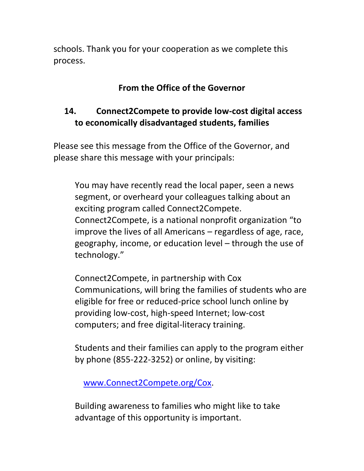schools. Thank you for your cooperation as we complete this process.

# **From the Office of the Governor**

### <span id="page-15-0"></span>**14. Connect2Compete to provide low-cost digital access to economically disadvantaged students, families**

Please see this message from the Office of the Governor, and please share this message with your principals:

You may have recently read the local paper, seen a news segment, or overheard your colleagues talking about an exciting program called Connect2Compete. Connect2Compete, is a national nonprofit organization "to improve the lives of all Americans – regardless of age, race, geography, income, or education level – through the use of technology."

Connect2Compete, in partnership with Cox Communications, will bring the families of students who are eligible for free or reduced-price school lunch online by providing low-cost, high-speed Internet; low-cost computers; and free digital-literacy training.

Students and their families can apply to the program either by phone (855-222-3252) or online, by visiting:

[www.Connect2Compete.org/Cox.](http://www.connect2compete.org/Cox)

Building awareness to families who might like to take advantage of this opportunity is important.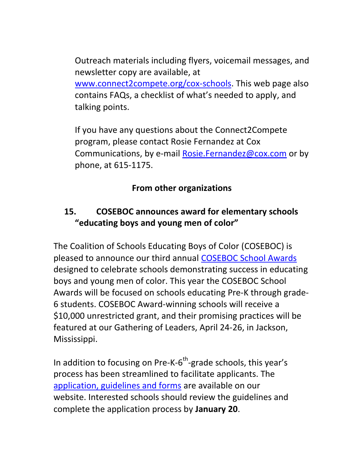Outreach materials including flyers, voicemail messages, and newsletter copy are available, at [www.connect2compete.org/cox-schools.](http://www.connect2compete.org/cox-schools) This web page also contains FAQs, a checklist of what's needed to apply, and talking points.

If you have any questions about the Connect2Compete program, please contact Rosie Fernandez at Cox Communications, by e-mail [Rosie.Fernandez@cox.com](mailto:Rosie.Fernandez@cox.com) or by phone, at 615-1175.

### **From other organizations**

# <span id="page-16-0"></span>**15. COSEBOC announces award for elementary schools "educating boys and young men of color"**

The Coalition of Schools Educating Boys of Color (COSEBOC) is pleased to announce our third annual [COSEBOC School Awards](http://r20.rs6.net/tn.jsp?f=001NfONje027YJiMWSnpEI-oUzHEeTl-Y07uz42df51B-3RjEPJKihF7J645PjEhC1yj9q88ML69LeZ2uD0X17yr4ghFX0Bwe9wdBH5RZay8ZjixPJokL6IoQwoWTBC0qwykWYeYoVn9Gy8brkS7fB0JkNY9yhV_PMewVNKYx4jZ1AV_dqCo6Zpwg==&c=kxSKrob2rzfqRqoJMKULyAtjUM5IVvvSE5feFGj5Ze09qllLc8wKvw==&ch=VUj9NRa-qsB67PsMfjxMX83d2kHT7MrsTeYYfDW4me7tHYKoftYjew==) designed to celebrate schools demonstrating success in educating boys and young men of color. This year the COSEBOC School Awards will be focused on schools educating Pre-K through grade-6 students. COSEBOC Award-winning schools will receive a \$10,000 unrestricted grant, and their promising practices will be featured at our Gathering of Leaders, April 24-26, in Jackson, Mississippi.

In addition to focusing on Pre-K- $6^{th}$ -grade schools, this year's process has been streamlined to facilitate applicants. The [application, guidelines and forms](http://r20.rs6.net/tn.jsp?f=001NfONje027YJiMWSnpEI-oUzHEeTl-Y07uz42df51B-3RjEPJKihF7J645PjEhC1yj9q88ML69LeZ2uD0X17yr4ghFX0Bwe9wdBH5RZay8ZjixPJokL6IoQwoWTBC0qwykWYeYoVn9Gy8brkS7fB0JkNY9yhV_PMewVNKYx4jZ1AV_dqCo6Zpwg==&c=kxSKrob2rzfqRqoJMKULyAtjUM5IVvvSE5feFGj5Ze09qllLc8wKvw==&ch=VUj9NRa-qsB67PsMfjxMX83d2kHT7MrsTeYYfDW4me7tHYKoftYjew==) are available on our website. Interested schools should review the guidelines and complete the application process by **January 20**.